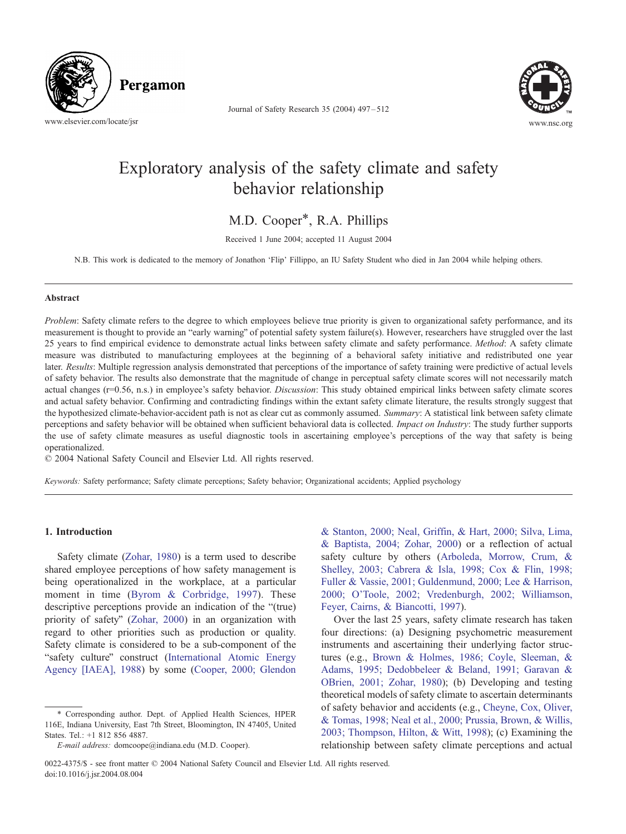

Pergamon

www.elsevier.com/locate/jsr www.nsc.org

Journal of Safety Research 35 (2004) 497 – 512



# Exploratory analysis of the safety climate and safety behavior relationship

M.D. Cooper\*, R.A. Phillips

Received 1 June 2004; accepted 11 August 2004

N.B. This work is dedicated to the memory of Jonathon 'Flip' Fillippo, an IU Safety Student who died in Jan 2004 while helping others.

# Abstract

Problem: Safety climate refers to the degree to which employees believe true priority is given to organizational safety performance, and its measurement is thought to provide an "early warning" of potential safety system failure(s). However, researchers have struggled over the last 25 years to find empirical evidence to demonstrate actual links between safety climate and safety performance. Method: A safety climate measure was distributed to manufacturing employees at the beginning of a behavioral safety initiative and redistributed one year later. Results: Multiple regression analysis demonstrated that perceptions of the importance of safety training were predictive of actual levels of safety behavior. The results also demonstrate that the magnitude of change in perceptual safety climate scores will not necessarily match actual changes (r=0.56, n.s.) in employee's safety behavior. Discussion: This study obtained empirical links between safety climate scores and actual safety behavior. Confirming and contradicting findings within the extant safety climate literature, the results strongly suggest that the hypothesized climate-behavior-accident path is not as clear cut as commonly assumed. Summary: A statistical link between safety climate perceptions and safety behavior will be obtained when sufficient behavioral data is collected. Impact on Industry: The study further supports the use of safety climate measures as useful diagnostic tools in ascertaining employee's perceptions of the way that safety is being operationalized.

© 2004 National Safety Council and Elsevier Ltd. All rights reserved.

Keywords: Safety performance; Safety climate perceptions; Safety behavior; Organizational accidents; Applied psychology

# 1. Introduction

Safety climate ([Zohar, 1980\)](#page-15-0) is a term used to describe shared employee perceptions of how safety management is being operationalized in the workplace, at a particular moment in time ([Byrom & Corbridge, 1997\)](#page-14-0). These descriptive perceptions provide an indication of the "(true) priority of safety" ([Zohar, 2000\)](#page-15-0) in an organization with regard to other priorities such as production or quality. Safety climate is considered to be a sub-component of the "safety culture" construct ([International Atomic Energy](#page-14-0) Agency [IAEA], 1988) by some ([Cooper, 2000; Glendon](#page-14-0)

& Stanton, 2000; Neal, Griffin, & Hart, 2000; Silva, Lima, & Baptista, 2004; Zohar, 2000) or a reflection of actual safety culture by others ([Arboleda, Morrow, Crum, &](#page-13-0) Shelley, 2003; Cabrera & Isla, 1998; Cox & Flin, 1998; Fuller & Vassie, 2001; Guldenmund, 2000; Lee & Harrison, 2000; O'Toole, 2002; Vredenburgh, 2002; Williamson, Feyer, Cairns, & Biancotti, 1997).

Over the last 25 years, safety climate research has taken four directions: (a) Designing psychometric measurement instruments and ascertaining their underlying factor structures (e.g., [Brown & Holmes, 1986; Coyle, Sleeman, &](#page-13-0) Adams, 1995; Dedobbeleer & Beland, 1991; Garavan & OBrien, 2001; Zohar, 1980); (b) Developing and testing theoretical models of safety climate to ascertain determinants of safety behavior and accidents (e.g., [Cheyne, Cox, Oliver,](#page-14-0) & Tomas, 1998; Neal et al., 2000; Prussia, Brown, & Willis, 2003; Thompson, Hilton, & Witt, 1998); (c) Examining the relationship between safety climate perceptions and actual

<sup>\*</sup> Corresponding author. Dept. of Applied Health Sciences, HPER 116E, Indiana University, East 7th Street, Bloomington, IN 47405, United States. Tel.: +1 812 856 4887.

E-mail address: domcoope@indiana.edu (M.D. Cooper).

<sup>0022-4375/\$ -</sup> see front matter © 2004 National Safety Council and Elsevier Ltd. All rights reserved. doi:10.1016/j.jsr.2004.08.004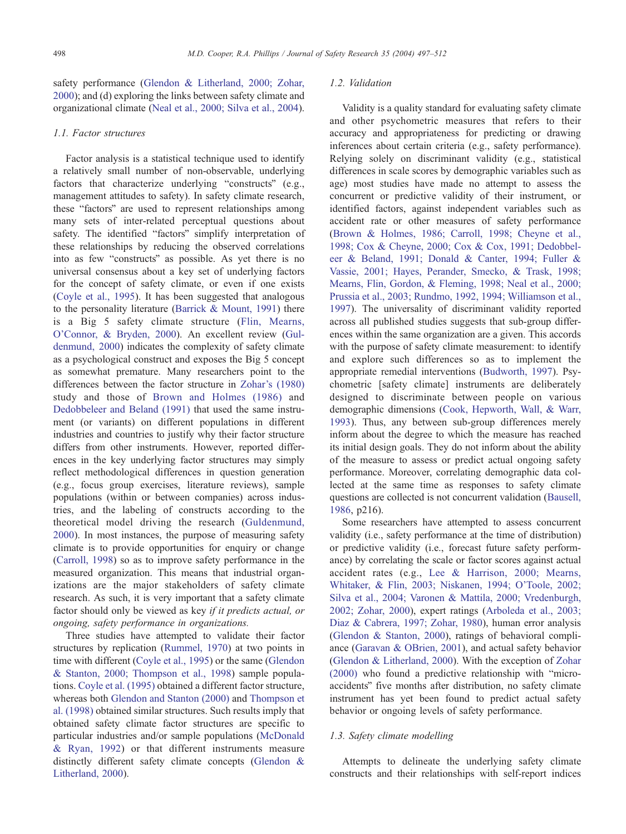safety performance ([Glendon & Litherland, 2000; Zohar,](#page-14-0) 2000); and (d) exploring the links between safety climate and organizational climate ([Neal et al., 2000; Silva et al., 2004\)](#page-14-0).

#### 1.1. Factor structures

Factor analysis is a statistical technique used to identify a relatively small number of non-observable, underlying factors that characterize underlying "constructs" (e.g., management attitudes to safety). In safety climate research, these "factors" are used to represent relationships among many sets of inter-related perceptual questions about safety. The identified "factors" simplify interpretation of these relationships by reducing the observed correlations into as few "constructs" as possible. As yet there is no universal consensus about a key set of underlying factors for the concept of safety climate, or even if one exists ([Coyle et al., 1995\)](#page-14-0). It has been suggested that analogous to the personality literature ([Barrick & Mount, 1991\)](#page-13-0) there is a Big 5 safety climate structure ([Flin, Mearns,](#page-14-0) O'Connor, & Bryden, 2000). An excellent review ([Gul](#page-14-0)denmund, 2000) indicates the complexity of safety climate as a psychological construct and exposes the Big 5 concept as somewhat premature. Many researchers point to the differences between the factor structure in [Zohar's \(1980\)](#page-15-0) study and those of [Brown and Holmes \(1986\)](#page-13-0) and [Dedobbeleer and Beland \(1991\)](#page-14-0) that used the same instrument (or variants) on different populations in different industries and countries to justify why their factor structure differs from other instruments. However, reported differences in the key underlying factor structures may simply reflect methodological differences in question generation (e.g., focus group exercises, literature reviews), sample populations (within or between companies) across industries, and the labeling of constructs according to the theoretical model driving the research ([Guldenmund,](#page-14-0) 2000). In most instances, the purpose of measuring safety climate is to provide opportunities for enquiry or change ([Carroll, 1998\)](#page-14-0) so as to improve safety performance in the measured organization. This means that industrial organizations are the major stakeholders of safety climate research. As such, it is very important that a safety climate factor should only be viewed as key if it predicts actual, or ongoing, safety performance in organizations.

Three studies have attempted to validate their factor structures by replication ([Rummel, 1970\)](#page-15-0) at two points in time with different ([Coyle et al., 1995\)](#page-14-0) or the same ([Glendon](#page-14-0) & Stanton, 2000; Thompson et al., 1998) sample populations. [Coyle et al. \(1995\)](#page-14-0) obtained a different factor structure, whereas both [Glendon and Stanton \(2000\)](#page-14-0) and [Thompson et](#page-15-0) al. (1998) obtained similar structures. Such results imply that obtained safety climate factor structures are specific to particular industries and/or sample populations ([McDonald](#page-14-0) & Ryan, 1992) or that different instruments measure distinctly different safety climate concepts ([Glendon &](#page-14-0) Litherland, 2000).

#### 1.2. Validation

Validity is a quality standard for evaluating safety climate and other psychometric measures that refers to their accuracy and appropriateness for predicting or drawing inferences about certain criteria (e.g., safety performance). Relying solely on discriminant validity (e.g., statistical differences in scale scores by demographic variables such as age) most studies have made no attempt to assess the concurrent or predictive validity of their instrument, or identified factors, against independent variables such as accident rate or other measures of safety performance ([Brown & Holmes, 1986; Carroll, 1998; Cheyne et al.,](#page-13-0) 1998; Cox & Cheyne, 2000; Cox & Cox, 1991; Dedobbeleer & Beland, 1991; Donald & Canter, 1994; Fuller & Vassie, 2001; Hayes, Perander, Smecko, & Trask, 1998; Mearns, Flin, Gordon, & Fleming, 1998; Neal et al., 2000; Prussia et al., 2003; Rundmo, 1992, 1994; Williamson et al., 1997). The universality of discriminant validity reported across all published studies suggests that sub-group differences within the same organization are a given. This accords with the purpose of safety climate measurement: to identify and explore such differences so as to implement the appropriate remedial interventions ([Budworth, 1997\)](#page-13-0). Psychometric [safety climate] instruments are deliberately designed to discriminate between people on various demographic dimensions ([Cook, Hepworth, Wall, & Warr,](#page-14-0) 1993). Thus, any between sub-group differences merely inform about the degree to which the measure has reached its initial design goals. They do not inform about the ability of the measure to assess or predict actual ongoing safety performance. Moreover, correlating demographic data collected at the same time as responses to safety climate questions are collected is not concurrent validation ([Bausell,](#page-13-0) 1986, p216).

Some researchers have attempted to assess concurrent validity (i.e., safety performance at the time of distribution) or predictive validity (i.e., forecast future safety performance) by correlating the scale or factor scores against actual accident rates (e.g., [Lee & Harrison, 2000; Mearns,](#page-14-0) Whitaker, & Flin, 2003; Niskanen, 1994; O'Toole, 2002; Silva et al., 2004; Varonen & Mattila, 2000; Vredenburgh, 2002; Zohar, 2000), expert ratings ([Arboleda et al., 2003;](#page-13-0) Diaz & Cabrera, 1997; Zohar, 1980), human error analysis ([Glendon & Stanton, 2000\)](#page-14-0), ratings of behavioral compliance ([Garavan & OBrien, 2001\)](#page-14-0), and actual safety behavior ([Glendon & Litherland, 2000\)](#page-14-0). With the exception of [Zohar](#page-15-0)  $(2000)$  who found a predictive relationship with "microaccidents" five months after distribution, no safety climate instrument has yet been found to predict actual safety behavior or ongoing levels of safety performance.

# 1.3. Safety climate modelling

Attempts to delineate the underlying safety climate constructs and their relationships with self-report indices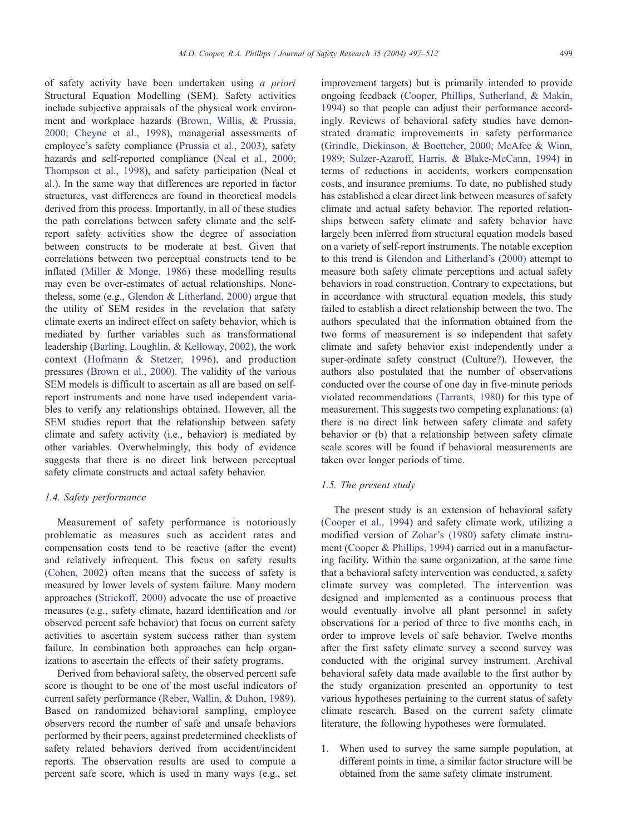of safety activity have been undertaken using a priori Structural Equation Modelling (SEM). Safety activities include subjective appraisals of the physical work environment and workplace hazards ([Brown, Willis, & Prussia,](#page-13-0) 2000; Cheyne et al., 1998), managerial assessments of employee's safety compliance ([Prussia et al., 2003\)](#page-15-0), safety hazards and self-reported compliance ([Neal et al., 2000;](#page-14-0) Thompson et al., 1998), and safety participation (Neal et al.). In the same way that differences are reported in factor structures, vast differences are found in theoretical models derived from this process. Importantly, in all of these studies the path correlations between safety climate and the selfreport safety activities show the degree of association between constructs to be moderate at best. Given that correlations between two perceptual constructs tend to be inflated ([Miller & Monge, 1986\)](#page-14-0) these modelling results may even be over-estimates of actual relationships. Nonetheless, some (e.g., [Glendon & Litherland, 2000\)](#page-14-0) argue that the utility of SEM resides in the revelation that safety climate exerts an indirect effect on safety behavior, which is mediated by further variables such as transformational leadership ([Barling, Loughlin, & Kelloway, 2002\)](#page-13-0), the work context ([Hofmann & Stetzer, 1996\)](#page-14-0), and production pressures [\(Brown et al., 2000\)](#page-13-0). The validity of the various SEM models is difficult to ascertain as all are based on selfreport instruments and none have used independent variables to verify any relationships obtained. However, all the SEM studies report that the relationship between safety climate and safety activity (i.e., behavior) is mediated by other variables. Overwhelmingly, this body of evidence suggests that there is no direct link between perceptual safety climate constructs and actual safety behavior.

## 1.4. Safety performance

Measurement of safety performance is notoriously problematic as measures such as accident rates and compensation costs tend to be reactive (after the event) and relatively infrequent. This focus on safety results ([Cohen, 2002](#page-14-0)) often means that the success of safety is measured by lower levels of system failure. Many modern approaches ([Strickoff, 2000\)](#page-15-0) advocate the use of proactive measures (e.g., safety climate, hazard identification and /or observed percent safe behavior) that focus on current safety activities to ascertain system success rather than system failure. In combination both approaches can help organizations to ascertain the effects of their safety programs.

Derived from behavioral safety, the observed percent safe score is thought to be one of the most useful indicators of current safety performance ([Reber, Wallin, & Duhon, 1989\)](#page-15-0). Based on randomized behavioral sampling, employee observers record the number of safe and unsafe behaviors performed by their peers, against predetermined checklists of safety related behaviors derived from accident/incident reports. The observation results are used to compute a percent safe score, which is used in many ways (e.g., set

improvement targets) but is primarily intended to provide ongoing feedback ([Cooper, Phillips, Sutherland, & Makin,](#page-14-0) 1994) so that people can adjust their performance accordingly. Reviews of behavioral safety studies have demonstrated dramatic improvements in safety performance ([Grindle, Dickinson, & Boettcher, 2000; McAfee & Winn,](#page-14-0) 1989; Sulzer-Azaroff, Harris, & Blake-McCann, 1994) in terms of reductions in accidents, workers compensation costs, and insurance premiums. To date, no published study has established a clear direct link between measures of safety climate and actual safety behavior. The reported relationships between safety climate and safety behavior have largely been inferred from structural equation models based on a variety of self-report instruments. The notable exception to this trend is [Glendon and Litherland's \(2000\)](#page-14-0) attempt to measure both safety climate perceptions and actual safety behaviors in road construction. Contrary to expectations, but in accordance with structural equation models, this study failed to establish a direct relationship between the two. The authors speculated that the information obtained from the two forms of measurement is so independent that safety climate and safety behavior exist independently under a super-ordinate safety construct (Culture?). However, the authors also postulated that the number of observations conducted over the course of one day in five-minute periods violated recommendations ([Tarrants, 1980\)](#page-15-0) for this type of measurement. This suggests two competing explanations: (a) there is no direct link between safety climate and safety behavior or (b) that a relationship between safety climate scale scores will be found if behavioral measurements are taken over longer periods of time.

#### 1.5. The present study

The present study is an extension of behavioral safety ([Cooper et al., 1994\)](#page-14-0) and safety climate work, utilizing a modified version of [Zohar's \(1980\)](#page-15-0) safety climate instrument ([Cooper & Phillips, 1994\)](#page-14-0) carried out in a manufacturing facility. Within the same organization, at the same time that a behavioral safety intervention was conducted, a safety climate survey was completed. The intervention was designed and implemented as a continuous process that would eventually involve all plant personnel in safety observations for a period of three to five months each, in order to improve levels of safe behavior. Twelve months after the first safety climate survey a second survey was conducted with the original survey instrument. Archival behavioral safety data made available to the first author by the study organization presented an opportunity to test various hypotheses pertaining to the current status of safety climate research. Based on the current safety climate literature, the following hypotheses were formulated.

1. When used to survey the same sample population, at different points in time, a similar factor structure will be obtained from the same safety climate instrument.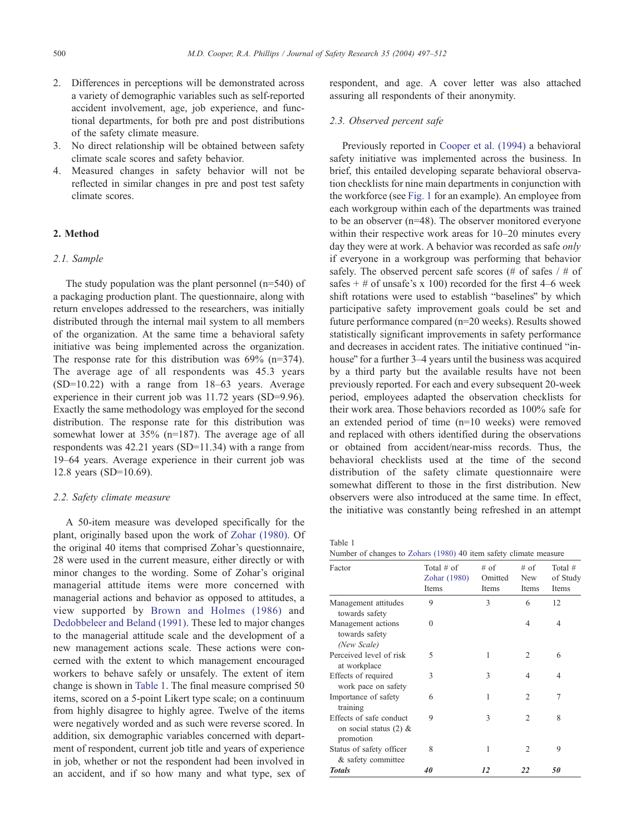- 2. Differences in perceptions will be demonstrated across a variety of demographic variables such as self-reported accident involvement, age, job experience, and functional departments, for both pre and post distributions of the safety climate measure.
- 3. No direct relationship will be obtained between safety climate scale scores and safety behavior.
- 4. Measured changes in safety behavior will not be reflected in similar changes in pre and post test safety climate scores.

# 2. Method

## 2.1. Sample

The study population was the plant personnel  $(n=540)$  of a packaging production plant. The questionnaire, along with return envelopes addressed to the researchers, was initially distributed through the internal mail system to all members of the organization. At the same time a behavioral safety initiative was being implemented across the organization. The response rate for this distribution was 69% (n=374). The average age of all respondents was 45.3 years (SD=10.22) with a range from 18–63 years. Average experience in their current job was 11.72 years (SD=9.96). Exactly the same methodology was employed for the second distribution. The response rate for this distribution was somewhat lower at 35% (n=187). The average age of all respondents was 42.21 years (SD=11.34) with a range from 19–64 years. Average experience in their current job was 12.8 years (SD=10.69).

## 2.2. Safety climate measure

A 50-item measure was developed specifically for the plant, originally based upon the work of [Zohar \(1980\).](#page-15-0) Of the original 40 items that comprised Zohar's questionnaire, 28 were used in the current measure, either directly or with minor changes to the wording. Some of Zohar's original managerial attitude items were more concerned with managerial actions and behavior as opposed to attitudes, a view supported by [Brown and Holmes \(1986\)](#page-13-0) and [Dedobbeleer and Beland \(1991\).](#page-14-0) These led to major changes to the managerial attitude scale and the development of a new management actions scale. These actions were concerned with the extent to which management encouraged workers to behave safely or unsafely. The extent of item change is shown in Table 1. The final measure comprised 50 items, scored on a 5-point Likert type scale; on a continuum from highly disagree to highly agree. Twelve of the items were negatively worded and as such were reverse scored. In addition, six demographic variables concerned with department of respondent, current job title and years of experience in job, whether or not the respondent had been involved in an accident, and if so how many and what type, sex of respondent, and age. A cover letter was also attached assuring all respondents of their anonymity.

#### 2.3. Observed percent safe

Previously reported in [Cooper et al. \(1994\)](#page-14-0) a behavioral safety initiative was implemented across the business. In brief, this entailed developing separate behavioral observation checklists for nine main departments in conjunction with the workforce (see [Fig. 1](#page-4-0) for an example). An employee from each workgroup within each of the departments was trained to be an observer (n=48). The observer monitored everyone within their respective work areas for 10–20 minutes every day they were at work. A behavior was recorded as safe only if everyone in a workgroup was performing that behavior safely. The observed percent safe scores (# of safes / # of safes  $+$  # of unsafe's x 100) recorded for the first 4–6 week shift rotations were used to establish "baselines" by which participative safety improvement goals could be set and future performance compared (n=20 weeks). Results showed statistically significant improvements in safety performance and decreases in accident rates. The initiative continued "inhouse" for a further 3–4 years until the business was acquired by a third party but the available results have not been previously reported. For each and every subsequent 20-week period, employees adapted the observation checklists for their work area. Those behaviors recorded as 100% safe for an extended period of time (n=10 weeks) were removed and replaced with others identified during the observations or obtained from accident/near-miss records. Thus, the behavioral checklists used at the time of the second distribution of the safety climate questionnaire were somewhat different to those in the first distribution. New observers were also introduced at the same time. In effect, the initiative was constantly being refreshed in an attempt

Table 1

Number of changes to [Zohars \(1980\)](#page-15-0) 40 item safety climate measure

| Factor                                                           | Total $#$ of<br>Zohar (1980)<br>Items | $#$ of<br>Omitted<br>Items | $#$ of<br><b>New</b><br>Items | Total $#$<br>of Study<br>Items |
|------------------------------------------------------------------|---------------------------------------|----------------------------|-------------------------------|--------------------------------|
| Management attitudes<br>towards safety                           | 9                                     | 3                          | 6                             | 12                             |
| Management actions<br>towards safety<br>(New Scale)              | 0                                     |                            | 4                             | 4                              |
| Perceived level of risk<br>at workplace                          | 5                                     | 1                          | 2                             | 6                              |
| Effects of required<br>work pace on safety                       | 3                                     | 3                          | 4                             | 4                              |
| Importance of safety<br>training                                 | 6                                     | 1                          | $\mathcal{L}$                 | 7                              |
| Effects of safe conduct<br>on social status $(2)$ &<br>promotion | 9                                     | 3                          | 2                             | 8                              |
| Status of safety officer<br>& safety committee                   | 8                                     | 1                          | $\mathfrak{D}$                | 9                              |
| <b>Totals</b>                                                    | 40                                    | 12                         | 22                            | 50                             |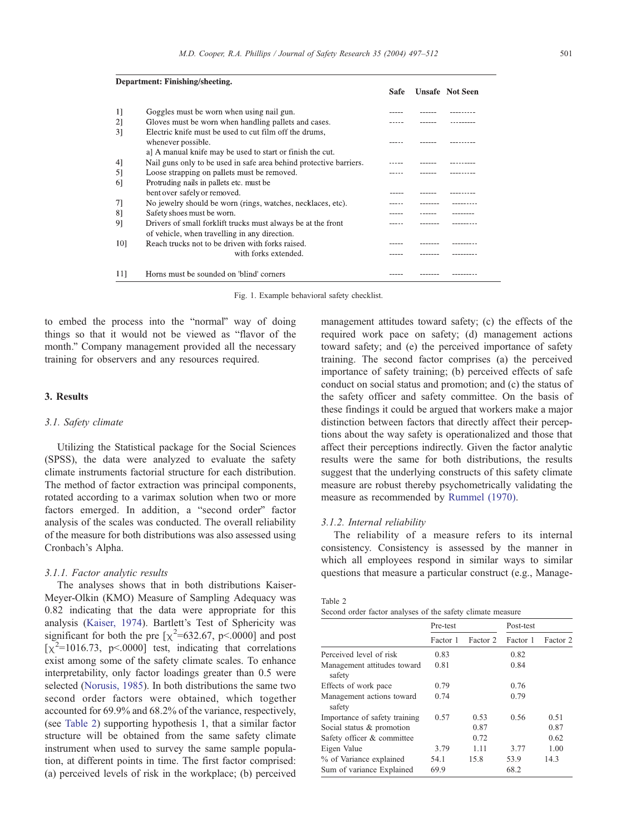<span id="page-4-0"></span>

|     | Department: Finishing/sheeting.                                    |      |                        |
|-----|--------------------------------------------------------------------|------|------------------------|
|     |                                                                    | Safe | <b>Unsafe</b> Not Seen |
| 11  | Goggles must be worn when using nail gun.                          |      |                        |
| 21  | Gloves must be worn when handling pallets and cases.               |      |                        |
| 31  | Electric knife must be used to cut film off the drums,             |      |                        |
|     | whenever possible.                                                 |      |                        |
|     | a] A manual knife may be used to start or finish the cut.          |      |                        |
| 41  | Nail guns only to be used in safe area behind protective barriers. |      |                        |
| 51  | Loose strapping on pallets must be removed.                        |      |                        |
| 61  | Protruding nails in pallets etc. must be.                          |      |                        |
|     | bent over safely or removed.                                       |      |                        |
| 71  | No jewelry should be worn (rings, watches, necklaces, etc).        |      |                        |
| 81  | Safety shoes must be worn.                                         |      |                        |
| 91  | Drivers of small forklift trucks must always be at the front       |      |                        |
|     | of vehicle, when travelling in any direction.                      |      |                        |
| 10] | Reach trucks not to be driven with forks raised.                   |      |                        |
|     | with forks extended.                                               |      |                        |
| 11] | Horns must be sounded on 'blind' corners                           |      |                        |

Fig. 1. Example behavioral safety checklist.

to embed the process into the "normal" way of doing things so that it would not be viewed as "flavor of the month." Company management provided all the necessary training for observers and any resources required.

#### 3. Results

#### 3.1. Safety climate

Utilizing the Statistical package for the Social Sciences (SPSS), the data were analyzed to evaluate the safety climate instruments factorial structure for each distribution. The method of factor extraction was principal components, rotated according to a varimax solution when two or more factors emerged. In addition, a "second order" factor analysis of the scales was conducted. The overall reliability of the measure for both distributions was also assessed using Cronbach's Alpha.

# 3.1.1. Factor analytic results

The analyses shows that in both distributions Kaiser-Meyer-Olkin (KMO) Measure of Sampling Adequacy was 0.82 indicating that the data were appropriate for this analysis ([Kaiser, 1974\)](#page-14-0). Bartlett's Test of Sphericity was significant for both the pre  $[\chi^2=632.67, p<.0000]$  and post  $[\chi^2=1016.73, p<.0000]$  test, indicating that correlations exist among some of the safety climate scales. To enhance interpretability, only factor loadings greater than 0.5 were selected ([Norusis, 1985\)](#page-14-0). In both distributions the same two second order factors were obtained, which together accounted for 69.9% and 68.2% of the variance, respectively, (see Table 2) supporting hypothesis 1, that a similar factor structure will be obtained from the same safety climate instrument when used to survey the same sample population, at different points in time. The first factor comprised: (a) perceived levels of risk in the workplace; (b) perceived

management attitudes toward safety; (c) the effects of the required work pace on safety; (d) management actions toward safety; and (e) the perceived importance of safety training. The second factor comprises (a) the perceived importance of safety training; (b) perceived effects of safe conduct on social status and promotion; and (c) the status of the safety officer and safety committee. On the basis of these findings it could be argued that workers make a major distinction between factors that directly affect their perceptions about the way safety is operationalized and those that affect their perceptions indirectly. Given the factor analytic results were the same for both distributions, the results suggest that the underlying constructs of this safety climate measure are robust thereby psychometrically validating the measure as recommended by [Rummel \(1970\).](#page-15-0)

# 3.1.2. Internal reliability

The reliability of a measure refers to its internal consistency. Consistency is assessed by the manner in which all employees respond in similar ways to similar questions that measure a particular construct (e.g., Manage-

| . .<br>۰,<br>M. |  |
|-----------------|--|
|-----------------|--|

| Second order factor analyses of the safety climate measure |  |  |  |
|------------------------------------------------------------|--|--|--|
|------------------------------------------------------------|--|--|--|

|                                       | Pre-test |          | Post-test |          |
|---------------------------------------|----------|----------|-----------|----------|
|                                       | Factor 1 | Factor 2 | Factor 1  | Factor 2 |
| Perceived level of risk               | 0.83     |          | 0.82      |          |
| Management attitudes toward<br>safety | 0.81     |          | 0.84      |          |
| Effects of work pace                  | 0.79     |          | 0.76      |          |
| Management actions toward<br>safety   | 0.74     |          | 0.79      |          |
| Importance of safety training         | 0.57     | 0.53     | 0.56      | 0.51     |
| Social status & promotion             |          | 0.87     |           | 0.87     |
| Safety officer & committee            |          | 0.72     |           | 0.62     |
| Eigen Value                           | 3.79     | 1 1 1    | 3.77      | 1.00     |
| % of Variance explained               | 54.1     | 15.8     | 53.9      | 14.3     |
| Sum of variance Explained             | 69.9     |          | 68.2      |          |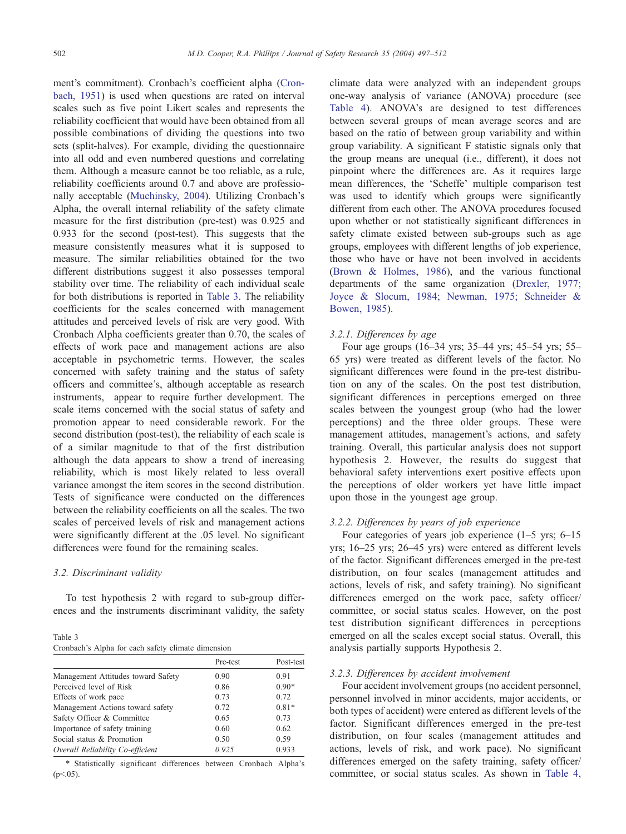ment's commitment). Cronbach's coefficient alpha ([Cron](#page-14-0)bach, 1951) is used when questions are rated on interval scales such as five point Likert scales and represents the reliability coefficient that would have been obtained from all possible combinations of dividing the questions into two sets (split-halves). For example, dividing the questionnaire into all odd and even numbered questions and correlating them. Although a measure cannot be too reliable, as a rule, reliability coefficients around 0.7 and above are professionally acceptable ([Muchinsky, 2004\)](#page-14-0). Utilizing Cronbach's Alpha, the overall internal reliability of the safety climate measure for the first distribution (pre-test) was 0.925 and 0.933 for the second (post-test). This suggests that the measure consistently measures what it is supposed to measure. The similar reliabilities obtained for the two different distributions suggest it also possesses temporal stability over time. The reliability of each individual scale for both distributions is reported in Table 3. The reliability coefficients for the scales concerned with management attitudes and perceived levels of risk are very good. With Cronbach Alpha coefficients greater than 0.70, the scales of effects of work pace and management actions are also acceptable in psychometric terms. However, the scales concerned with safety training and the status of safety officers and committee's, although acceptable as research instruments, appear to require further development. The scale items concerned with the social status of safety and promotion appear to need considerable rework. For the second distribution (post-test), the reliability of each scale is of a similar magnitude to that of the first distribution although the data appears to show a trend of increasing reliability, which is most likely related to less overall variance amongst the item scores in the second distribution. Tests of significance were conducted on the differences between the reliability coefficients on all the scales. The two scales of perceived levels of risk and management actions were significantly different at the .05 level. No significant differences were found for the remaining scales.

# 3.2. Discriminant validity

To test hypothesis 2 with regard to sub-group differences and the instruments discriminant validity, the safety

Table 3 Cronbach's Alpha for each safety climate dimension

|                                    | Pre-test | Post-test |
|------------------------------------|----------|-----------|
| Management Attitudes toward Safety | 0.90     | 0.91      |
| Perceived level of Risk            | 0.86     | $0.90*$   |
| Effects of work pace               | 0.73     | 0.72      |
| Management Actions toward safety   | 0.72     | $0.81*$   |
| Safety Officer & Committee         | 0.65     | 0.73      |
| Importance of safety training      | 0.60     | 0.62      |
| Social status & Promotion          | 0.50     | 0.59      |
| Overall Reliability Co-efficient   | 0.925    | 0.933     |

\* Statistically significant differences between Cronbach Alpha's  $(p<.05)$ .

climate data were analyzed with an independent groups one-way analysis of variance (ANOVA) procedure (see [Table 4\)](#page-6-0). ANOVA's are designed to test differences between several groups of mean average scores and are based on the ratio of between group variability and within group variability. A significant F statistic signals only that the group means are unequal (i.e., different), it does not pinpoint where the differences are. As it requires large mean differences, the 'Scheffe' multiple comparison test was used to identify which groups were significantly different from each other. The ANOVA procedures focused upon whether or not statistically significant differences in safety climate existed between sub-groups such as age groups, employees with different lengths of job experience, those who have or have not been involved in accidents ([Brown & Holmes, 1986\)](#page-13-0), and the various functional departments of the same organization ([Drexler, 1977;](#page-14-0) Joyce & Slocum, 1984; Newman, 1975; Schneider & Bowen, 1985).

#### 3.2.1. Differences by age

Four age groups (16–34 yrs; 35–44 yrs; 45–54 yrs; 55– 65 yrs) were treated as different levels of the factor. No significant differences were found in the pre-test distribution on any of the scales. On the post test distribution, significant differences in perceptions emerged on three scales between the youngest group (who had the lower perceptions) and the three older groups. These were management attitudes, management's actions, and safety training. Overall, this particular analysis does not support hypothesis 2. However, the results do suggest that behavioral safety interventions exert positive effects upon the perceptions of older workers yet have little impact upon those in the youngest age group.

#### 3.2.2. Differences by years of job experience

Four categories of years job experience  $(1-5 \text{ yrs}; 6-15)$ yrs; 16–25 yrs; 26–45 yrs) were entered as different levels of the factor. Significant differences emerged in the pre-test distribution, on four scales (management attitudes and actions, levels of risk, and safety training). No significant differences emerged on the work pace, safety officer/ committee, or social status scales. However, on the post test distribution significant differences in perceptions emerged on all the scales except social status. Overall, this analysis partially supports Hypothesis 2.

#### 3.2.3. Differences by accident involvement

Four accident involvement groups (no accident personnel, personnel involved in minor accidents, major accidents, or both types of accident) were entered as different levels of the factor. Significant differences emerged in the pre-test distribution, on four scales (management attitudes and actions, levels of risk, and work pace). No significant differences emerged on the safety training, safety officer/ committee, or social status scales. As shown in [Table 4,](#page-6-0)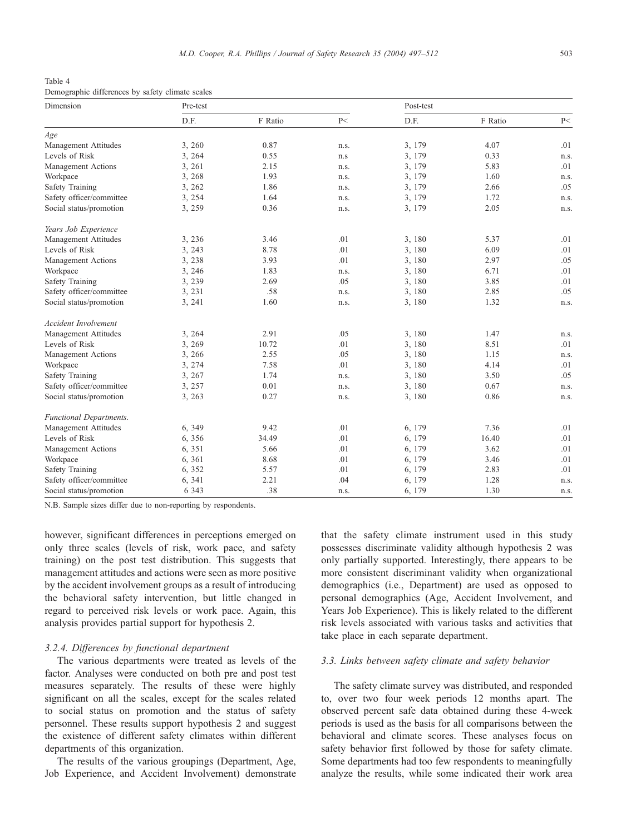<span id="page-6-0"></span>Table 4 Demographic differences by safety climate scales

| Dimension                   | Pre-test |         |      | Post-test |         |      |
|-----------------------------|----------|---------|------|-----------|---------|------|
|                             | D.F.     | F Ratio | P<   | D.F.      | F Ratio | P<   |
| Age                         |          |         |      |           |         |      |
| Management Attitudes        | 3, 260   | 0.87    | n.s. | 3, 179    | 4.07    | .01  |
| Levels of Risk              | 3, 264   | 0.55    | n.s  | 3, 179    | 0.33    | n.s. |
| Management Actions          | 3, 261   | 2.15    | n.s. | 3, 179    | 5.83    | .01  |
| Workpace                    | 3, 268   | 1.93    | n.s. | 3, 179    | 1.60    | n.s. |
| <b>Safety Training</b>      | 3, 262   | 1.86    | n.s. | 3, 179    | 2.66    | .05  |
| Safety officer/committee    | 3, 254   | 1.64    | n.s. | 3, 179    | 1.72    | n.s. |
| Social status/promotion     | 3, 259   | 0.36    | n.s. | 3, 179    | 2.05    | n.s. |
| Years Job Experience        |          |         |      |           |         |      |
| Management Attitudes        | 3, 236   | 3.46    | .01  | 3,180     | 5.37    | .01  |
| Levels of Risk              | 3, 243   | 8.78    | .01  | 3, 180    | 6.09    | .01  |
| Management Actions          | 3, 238   | 3.93    | .01  | 3, 180    | 2.97    | .05  |
| Workpace                    | 3, 246   | 1.83    | n.s. | 3,180     | 6.71    | .01  |
| Safety Training             | 3, 239   | 2.69    | .05  | 3,180     | 3.85    | .01  |
| Safety officer/committee    | 3, 231   | .58     | n.s. | 3, 180    | 2.85    | .05  |
| Social status/promotion     | 3, 241   | 1.60    | n.s. | 3, 180    | 1.32    | n.s. |
| <b>Accident Involvement</b> |          |         |      |           |         |      |
| Management Attitudes        | 3, 264   | 2.91    | .05  | 3, 180    | 1.47    | n.s. |
| Levels of Risk              | 3, 269   | 10.72   | .01  | 3, 180    | 8.51    | .01  |
| Management Actions          | 3, 266   | 2.55    | .05  | 3,180     | 1.15    | n.s. |
| Workpace                    | 3, 274   | 7.58    | .01  | 3,180     | 4.14    | .01  |
| Safety Training             | 3, 267   | 1.74    | n.s. | 3, 180    | 3.50    | .05  |
| Safety officer/committee    | 3, 257   | 0.01    | n.s. | 3, 180    | 0.67    | n.s. |
| Social status/promotion     | 3, 263   | 0.27    | n.s. | 3, 180    | 0.86    | n.s. |
| Functional Departments.     |          |         |      |           |         |      |
| Management Attitudes        | 6, 349   | 9.42    | .01  | 6, 179    | 7.36    | .01  |
| Levels of Risk              | 6, 356   | 34.49   | .01  | 6, 179    | 16.40   | .01  |
| Management Actions          | 6, 351   | 5.66    | .01  | 6, 179    | 3.62    | .01  |
| Workpace                    | 6, 361   | 8.68    | .01  | 6, 179    | 3.46    | .01  |
| Safety Training             | 6, 352   | 5.57    | .01  | 6, 179    | 2.83    | .01  |
| Safety officer/committee    | 6, 341   | 2.21    | .04  | 6, 179    | 1.28    | n.s. |
| Social status/promotion     | 6 3 4 3  | .38     | n.s. | 6, 179    | 1.30    | n.s. |

N.B. Sample sizes differ due to non-reporting by respondents.

however, significant differences in perceptions emerged on only three scales (levels of risk, work pace, and safety training) on the post test distribution. This suggests that management attitudes and actions were seen as more positive by the accident involvement groups as a result of introducing the behavioral safety intervention, but little changed in regard to perceived risk levels or work pace. Again, this analysis provides partial support for hypothesis 2.

# 3.2.4. Differences by functional department

The various departments were treated as levels of the factor. Analyses were conducted on both pre and post test measures separately. The results of these were highly significant on all the scales, except for the scales related to social status on promotion and the status of safety personnel. These results support hypothesis 2 and suggest the existence of different safety climates within different departments of this organization.

The results of the various groupings (Department, Age, Job Experience, and Accident Involvement) demonstrate that the safety climate instrument used in this study possesses discriminate validity although hypothesis 2 was only partially supported. Interestingly, there appears to be more consistent discriminant validity when organizational demographics (i.e., Department) are used as opposed to personal demographics (Age, Accident Involvement, and Years Job Experience). This is likely related to the different risk levels associated with various tasks and activities that take place in each separate department.

#### 3.3. Links between safety climate and safety behavior

The safety climate survey was distributed, and responded to, over two four week periods 12 months apart. The observed percent safe data obtained during these 4-week periods is used as the basis for all comparisons between the behavioral and climate scores. These analyses focus on safety behavior first followed by those for safety climate. Some departments had too few respondents to meaningfully analyze the results, while some indicated their work area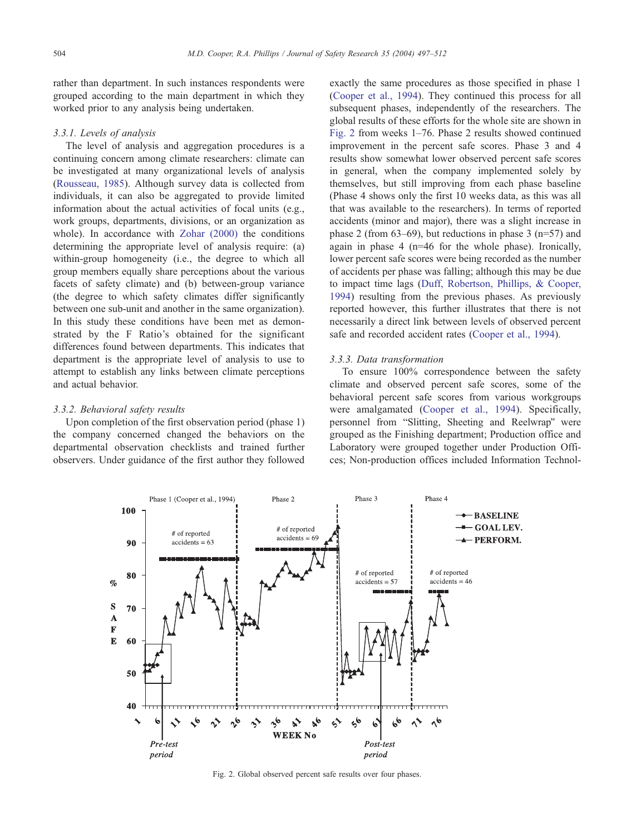rather than department. In such instances respondents were grouped according to the main department in which they worked prior to any analysis being undertaken.

#### 3.3.1. Levels of analysis

The level of analysis and aggregation procedures is a continuing concern among climate researchers: climate can be investigated at many organizational levels of analysis ([Rousseau, 1985\)](#page-15-0). Although survey data is collected from individuals, it can also be aggregated to provide limited information about the actual activities of focal units (e.g., work groups, departments, divisions, or an organization as whole). In accordance with [Zohar \(2000\)](#page-15-0) the conditions determining the appropriate level of analysis require: (a) within-group homogeneity (i.e., the degree to which all group members equally share perceptions about the various facets of safety climate) and (b) between-group variance (the degree to which safety climates differ significantly between one sub-unit and another in the same organization). In this study these conditions have been met as demonstrated by the F Ratio's obtained for the significant differences found between departments. This indicates that department is the appropriate level of analysis to use to attempt to establish any links between climate perceptions and actual behavior.

# 3.3.2. Behavioral safety results

Upon completion of the first observation period (phase 1) the company concerned changed the behaviors on the departmental observation checklists and trained further observers. Under guidance of the first author they followed exactly the same procedures as those specified in phase 1 ([Cooper et al., 1994\)](#page-14-0). They continued this process for all subsequent phases, independently of the researchers. The global results of these efforts for the whole site are shown in Fig. 2 from weeks 1–76. Phase 2 results showed continued improvement in the percent safe scores. Phase 3 and 4 results show somewhat lower observed percent safe scores in general, when the company implemented solely by themselves, but still improving from each phase baseline (Phase 4 shows only the first 10 weeks data, as this was all that was available to the researchers). In terms of reported accidents (minor and major), there was a slight increase in phase 2 (from  $63-69$ ), but reductions in phase 3 (n=57) and again in phase 4 (n=46 for the whole phase). Ironically, lower percent safe scores were being recorded as the number of accidents per phase was falling; although this may be due to impact time lags ([Duff, Robertson, Phillips, & Cooper,](#page-14-0) 1994) resulting from the previous phases. As previously reported however, this further illustrates that there is not necessarily a direct link between levels of observed percent safe and recorded accident rates ([Cooper et al., 1994\)](#page-14-0).

#### 3.3.3. Data transformation

To ensure 100% correspondence between the safety climate and observed percent safe scores, some of the behavioral percent safe scores from various workgroups were amalgamated ([Cooper et al., 1994\)](#page-14-0). Specifically, personnel from "Slitting, Sheeting and Reelwrap" were grouped as the Finishing department; Production office and Laboratory were grouped together under Production Offices; Non-production offices included Information Technol-



Fig. 2. Global observed percent safe results over four phases.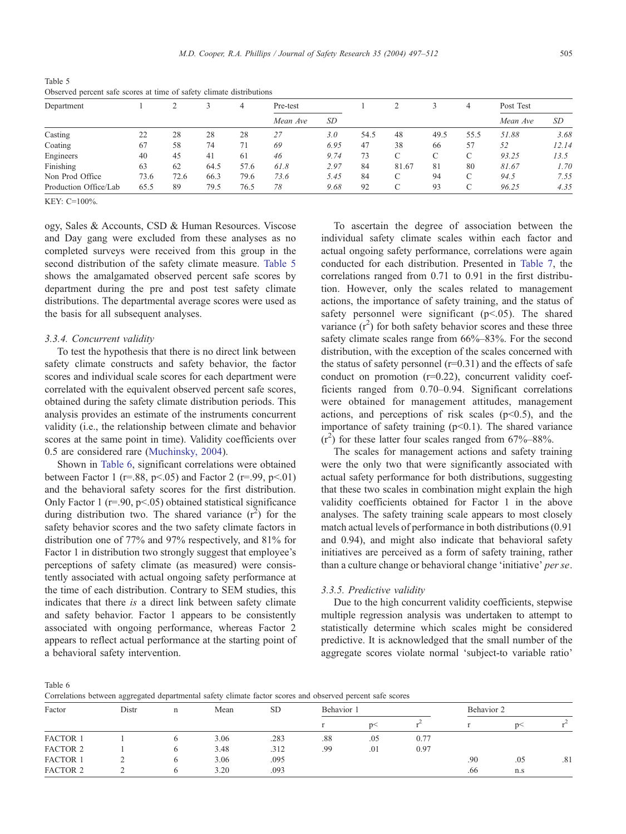<span id="page-8-0"></span>Table 5 Observed percent safe scores at time of safety climate distributions

| Department            |      |      |      | 4    | Pre-test |           |      |       |      | 4    | Post Test |           |
|-----------------------|------|------|------|------|----------|-----------|------|-------|------|------|-----------|-----------|
|                       |      |      |      |      | Mean Ave | <i>SD</i> |      |       |      |      | Mean Ave  | <b>SD</b> |
| Casting               | 22   | 28   | 28   | 28   | 27       | 3.0       | 54.5 | 48    | 49.5 | 55.5 | 51.88     | 3.68      |
| Coating               | 67   | 58   | 74   | 71   | 69       | 6.95      | 47   | 38    | 66   | 57   | 52        | 12.14     |
| Engineers             | 40   | 45   | 41   | 61   | 46       | 9.74      | 73   | С     | С    | С    | 93.25     | 13.5      |
| Finishing             | 63   | 62   | 64.5 | 57.6 | 61.8     | 2.97      | 84   | 81.67 | 81   | 80   | 81.67     | 1.70      |
| Non Prod Office       | 73.6 | 72.6 | 66.3 | 79.6 | 73.6     | 5.45      | 84   | С     | 94   | C    | 94.5      | 7.55      |
| Production Office/Lab | 65.5 | 89   | 79.5 | 76.5 | 78       | 9.68      | 92   | ⌒     | 93   | C    | 96.25     | 4.35      |

KEY:  $C=100\%$ 

ogy, Sales & Accounts, CSD & Human Resources. Viscose and Day gang were excluded from these analyses as no completed surveys were received from this group in the second distribution of the safety climate measure. Table 5 shows the amalgamated observed percent safe scores by department during the pre and post test safety climate distributions. The departmental average scores were used as the basis for all subsequent analyses.

#### 3.3.4. Concurrent validity

To test the hypothesis that there is no direct link between safety climate constructs and safety behavior, the factor scores and individual scale scores for each department were correlated with the equivalent observed percent safe scores, obtained during the safety climate distribution periods. This analysis provides an estimate of the instruments concurrent validity (i.e., the relationship between climate and behavior scores at the same point in time). Validity coefficients over 0.5 are considered rare ([Muchinsky, 2004\)](#page-14-0).

Shown in Table 6, significant correlations were obtained between Factor 1 ( $r=.88$ ,  $p<.05$ ) and Factor 2 ( $r=.99$ ,  $p<.01$ ) and the behavioral safety scores for the first distribution. Only Factor 1 ( $r=90$ ,  $p<0.05$ ) obtained statistical significance during distribution two. The shared variance  $(r^2)$  for the safety behavior scores and the two safety climate factors in distribution one of 77% and 97% respectively, and 81% for Factor 1 in distribution two strongly suggest that employee's perceptions of safety climate (as measured) were consistently associated with actual ongoing safety performance at the time of each distribution. Contrary to SEM studies, this indicates that there is a direct link between safety climate and safety behavior. Factor 1 appears to be consistently associated with ongoing performance, whereas Factor 2 appears to reflect actual performance at the starting point of a behavioral safety intervention.

To ascertain the degree of association between the individual safety climate scales within each factor and actual ongoing safety performance, correlations were again conducted for each distribution. Presented in [Table 7,](#page-9-0) the correlations ranged from 0.71 to 0.91 in the first distribution. However, only the scales related to management actions, the importance of safety training, and the status of safety personnel were significant  $(p<0.05)$ . The shared variance  $(r^2)$  for both safety behavior scores and these three safety climate scales range from  $66\% - 83\%$ . For the second distribution, with the exception of the scales concerned with the status of safety personnel  $(r=0.31)$  and the effects of safe conduct on promotion (r=0.22), concurrent validity coefficients ranged from 0.70–0.94. Significant correlations were obtained for management attitudes, management actions, and perceptions of risk scales ( $p<0.5$ ), and the importance of safety training  $(p<0.1)$ . The shared variance  $(r^2)$  for these latter four scales ranged from 67%–88%.

The scales for management actions and safety training were the only two that were significantly associated with actual safety performance for both distributions, suggesting that these two scales in combination might explain the high validity coefficients obtained for Factor 1 in the above analyses. The safety training scale appears to most closely match actual levels of performance in both distributions (0.91 and 0.94), and might also indicate that behavioral safety initiatives are perceived as a form of safety training, rather than a culture change or behavioral change 'initiative' per se.

# 3.3.5. Predictive validity

Due to the high concurrent validity coefficients, stepwise multiple regression analysis was undertaken to attempt to statistically determine which scales might be considered predictive. It is acknowledged that the small number of the aggregate scores violate normal 'subject-to variable ratio'

Table 6

Correlations between aggregated departmental safety climate factor scores and observed percent safe scores

|          | Correlations between aggregated departmental safety climate factor scores and observed percent safe scores |   |      |           |            |     |      |            |     |     |  |  |  |
|----------|------------------------------------------------------------------------------------------------------------|---|------|-----------|------------|-----|------|------------|-----|-----|--|--|--|
| Factor   | Distr                                                                                                      | n | Mean | <b>SD</b> | Behavior 1 |     |      | Behavior 2 |     |     |  |  |  |
|          |                                                                                                            |   |      |           |            | n<  |      |            | n<  |     |  |  |  |
| FACTOR 1 |                                                                                                            |   | 3.06 | .283      | .88        | .05 | 0.77 |            |     |     |  |  |  |
| FACTOR 2 |                                                                                                            |   | 3.48 | .312      | .99        | .01 | 0.97 |            |     |     |  |  |  |
| FACTOR 1 |                                                                                                            |   | 3.06 | .095      |            |     |      | .90        | .05 | .81 |  |  |  |
| FACTOR 2 |                                                                                                            |   | 3.20 | .093      |            |     |      | .66        | n.s |     |  |  |  |
|          |                                                                                                            |   |      |           |            |     |      |            |     |     |  |  |  |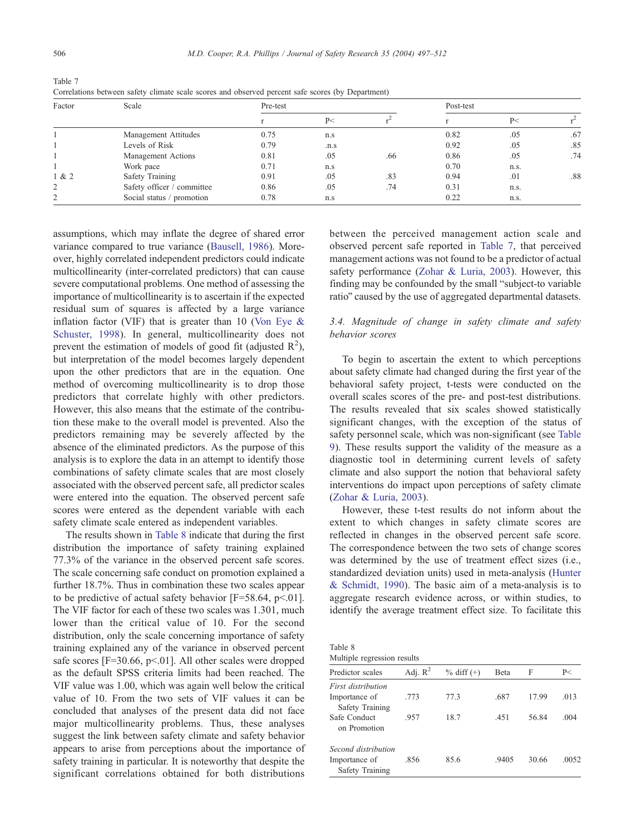|        | Correlations between safety climate scale scores and observed percent safe scores (by Department) |          |      |     |           |      |     |  |  |  |  |  |
|--------|---------------------------------------------------------------------------------------------------|----------|------|-----|-----------|------|-----|--|--|--|--|--|
| Factor | Scale                                                                                             | Pre-test |      |     | Post-test |      |     |  |  |  |  |  |
|        |                                                                                                   |          |      |     |           | P<   |     |  |  |  |  |  |
|        | Management Attitudes                                                                              | 0.75     | n.s  |     | 0.82      | .05  | .67 |  |  |  |  |  |
|        | Levels of Risk                                                                                    | 0.79     | .n.s |     | 0.92      | .05  | .85 |  |  |  |  |  |
|        | Management Actions                                                                                | 0.81     | .05  | .66 | 0.86      | .05  | .74 |  |  |  |  |  |
|        | Work pace                                                                                         | 0.71     | n.s  |     | 0.70      | n.s. |     |  |  |  |  |  |
| 1 & 2  | Safety Training                                                                                   | 0.91     | .05  | .83 | 0.94      | .01  | .88 |  |  |  |  |  |

2 Safety officer / committee  $0.86$  .05 .74 0.31 n.s. 2 Social status / promotion 0.78 n.s 0.22 n.s.

<span id="page-9-0"></span>Table 7

assumptions, which may inflate the degree of shared error variance compared to true variance ([Bausell, 1986\)](#page-13-0). Moreover, highly correlated independent predictors could indicate multicollinearity (inter-correlated predictors) that can cause severe computational problems. One method of assessing the importance of multicollinearity is to ascertain if the expected residual sum of squares is affected by a large variance inflation factor (VIF) that is greater than 10 (Von Eye  $\&$ Schuster, 1998). In general, multicollinearity does not prevent the estimation of models of good fit (adjusted  $R^2$ ), but interpretation of the model becomes largely dependent upon the other predictors that are in the equation. One method of overcoming multicollinearity is to drop those predictors that correlate highly with other predictors. However, this also means that the estimate of the contribution these make to the overall model is prevented. Also the predictors remaining may be severely affected by the absence of the eliminated predictors. As the purpose of this analysis is to explore the data in an attempt to identify those combinations of safety climate scales that are most closely associated with the observed percent safe, all predictor scales were entered into the equation. The observed percent safe scores were entered as the dependent variable with each safety climate scale entered as independent variables.

The results shown in Table 8 indicate that during the first distribution the importance of safety training explained 77.3% of the variance in the observed percent safe scores. The scale concerning safe conduct on promotion explained a further 18.7%. Thus in combination these two scales appear to be predictive of actual safety behavior [ $F=58.64$ ,  $p<.01$ ]. The VIF factor for each of these two scales was 1.301, much lower than the critical value of 10. For the second distribution, only the scale concerning importance of safety training explained any of the variance in observed percent safe scores [F=30.66, p $\le$ .01]. All other scales were dropped as the default SPSS criteria limits had been reached. The VIF value was 1.00, which was again well below the critical value of 10. From the two sets of VIF values it can be concluded that analyses of the present data did not face major multicollinearity problems. Thus, these analyses suggest the link between safety climate and safety behavior appears to arise from perceptions about the importance of safety training in particular. It is noteworthy that despite the significant correlations obtained for both distributions

between the perceived management action scale and observed percent safe reported in Table 7, that perceived management actions was not found to be a predictor of actual safety performance ([Zohar & Luria, 2003\)](#page-15-0). However, this finding may be confounded by the small "subject-to variable" ratio" caused by the use of aggregated departmental datasets.

# 3.4. Magnitude of change in safety climate and safety behavior scores

To begin to ascertain the extent to which perceptions about safety climate had changed during the first year of the behavioral safety project, t-tests were conducted on the overall scales scores of the pre- and post-test distributions. The results revealed that six scales showed statistically significant changes, with the exception of the status of safety personnel scale, which was non-significant (see [Table](#page-10-0) 9). These results support the validity of the measure as a diagnostic tool in determining current levels of safety climate and also support the notion that behavioral safety interventions do impact upon perceptions of safety climate ([Zohar & Luria, 2003\)](#page-15-0).

However, these t-test results do not inform about the extent to which changes in safety climate scores are reflected in changes in the observed percent safe score. The correspondence between the two sets of change scores was determined by the use of treatment effect sizes (i.e., standardized deviation units) used in meta-analysis ([Hunter](#page-14-0) & Schmidt, 1990). The basic aim of a meta-analysis is to aggregate research evidence across, or within studies, to identify the average treatment effect size. To facilitate this

| Table 8 |                             |  |
|---------|-----------------------------|--|
|         | Multiple regression results |  |

| ividitipic regression results    |            |                 |       |       |       |  |  |  |  |  |  |
|----------------------------------|------------|-----------------|-------|-------|-------|--|--|--|--|--|--|
| Predictor scales                 | Adj. $R^2$ | $\%$ diff $(+)$ | Beta  | F     | P<    |  |  |  |  |  |  |
| <i>First distribution</i>        |            |                 |       |       |       |  |  |  |  |  |  |
| Importance of<br>Safety Training | .773       | 77.3            | .687  | 17.99 | .013  |  |  |  |  |  |  |
| Safe Conduct<br>on Promotion     | .957       | 18.7            | .451  | 56.84 | .004  |  |  |  |  |  |  |
| Second distribution              |            |                 |       |       |       |  |  |  |  |  |  |
| Importance of<br>Safety Training | .856       | 85.6            | .9405 | 30.66 | .0052 |  |  |  |  |  |  |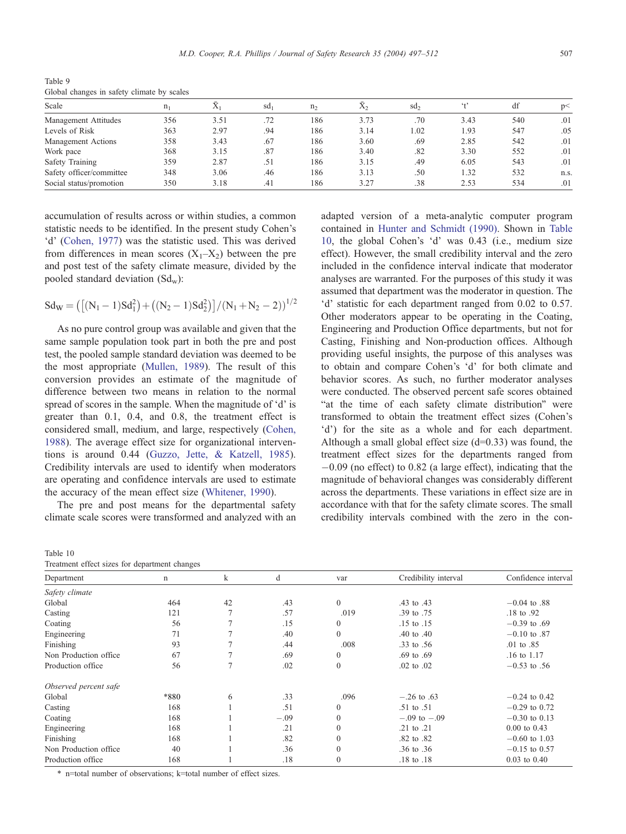<span id="page-10-0"></span>Table 9 Global changes in safety climate by scales

| Scale                    | n <sub>1</sub> | $\bar{X}_1$ | sd  | n <sub>2</sub> | $\Lambda$ | Sd <sub>2</sub> | $6 + 2$ | df  |      |
|--------------------------|----------------|-------------|-----|----------------|-----------|-----------------|---------|-----|------|
| Management Attitudes     | 356            | 3.51        | .72 | 186            | 3.73      | .70             | 3.43    | 540 | .01  |
| Levels of Risk           | 363            | 2.97        | .94 | 186            | 3.14      | 1.02            | 1.93    | 547 | .05  |
| Management Actions       | 358            | 3.43        | .67 | 186            | 3.60      | .69             | 2.85    | 542 | .01  |
| Work pace                | 368            | 3.15        | .87 | 186            | 3.40      | .82             | 3.30    | 552 | .01  |
| Safety Training          | 359            | 2.87        | .51 | 186            | 3.15      | .49             | 6.05    | 543 | .01  |
| Safety officer/committee | 348            | 3.06        | .46 | 186            | 3.13      | .50             | 1.32    | 532 | n.s. |
| Social status/promotion  | 350            | 3.18        | .41 | 186            | 3.27      | .38             | 2.53    | 534 | .01  |

accumulation of results across or within studies, a common statistic needs to be identified. In the present study Cohen's  $d'$  ([Cohen, 1977\)](#page-14-0) was the statistic used. This was derived from differences in mean scores  $(X_1-X_2)$  between the pre and post test of the safety climate measure, divided by the pooled standard deviation  $(Sd_w)$ :

$$
Sd_W\!=\!\big(\big[(N_1\!-1)Sd_1^2\big)\!+\!\big((N_2\!-1)Sd_2^2\big)\big]/(N_1\!+\!N_2-2))^{1/2}
$$

As no pure control group was available and given that the same sample population took part in both the pre and post test, the pooled sample standard deviation was deemed to be the most appropriate ([Mullen, 1989\)](#page-14-0). The result of this conversion provides an estimate of the magnitude of difference between two means in relation to the normal spread of scores in the sample. When the magnitude of 'd' is greater than 0.1, 0.4, and 0.8, the treatment effect is considered small, medium, and large, respectively ([Cohen,](#page-14-0) 1988). The average effect size for organizational interventions is around 0.44 ([Guzzo, Jette, & Katzell, 1985\)](#page-14-0). Credibility intervals are used to identify when moderators are operating and confidence intervals are used to estimate the accuracy of the mean effect size ([Whitener, 1990\)](#page-15-0).

The pre and post means for the departmental safety climate scale scores were transformed and analyzed with an

| Table 10 |  |                                               |  |
|----------|--|-----------------------------------------------|--|
|          |  | Treatment effect sizes for department changes |  |

adapted version of a meta-analytic computer program contained in [Hunter and Schmidt \(1990\).](#page-14-0) Shown in Table 10, the global Cohen's 'd' was  $0.43$  (i.e., medium size effect). However, the small credibility interval and the zero included in the confidence interval indicate that moderator analyses are warranted. For the purposes of this study it was assumed that department was the moderator in question. The  $d$  statistic for each department ranged from 0.02 to 0.57. Other moderators appear to be operating in the Coating, Engineering and Production Office departments, but not for Casting, Finishing and Non-production offices. Although providing useful insights, the purpose of this analyses was to obtain and compare Cohen's 'd' for both climate and behavior scores. As such, no further moderator analyses were conducted. The observed percent safe scores obtained "at the time of each safety climate distribution" were transformed to obtain the treatment effect sizes (Cohen's 'd') for the site as a whole and for each department. Although a small global effect size  $(d=0.33)$  was found, the treatment effect sizes for the departments ranged from -0.09 (no effect) to 0.82 (a large effect), indicating that the magnitude of behavioral changes was considerably different across the departments. These variations in effect size are in accordance with that for the safety climate scores. The small credibility intervals combined with the zero in the con-

| Department            | n    | k              | d      | var            | Credibility interval  | Confidence interval     |
|-----------------------|------|----------------|--------|----------------|-----------------------|-------------------------|
| Safety climate        |      |                |        |                |                       |                         |
| Global                | 464  | 42             | .43    | $\theta$       | .43 to .43            | $-0.04$ to .88          |
| Casting               | 121  | $\overline{7}$ | .57    | .019           | .39 to .75            | $.18$ to $.92$          |
| Coating               | 56   | $\overline{7}$ | .15    | $\overline{0}$ | $.15$ to $.15$        | $-0.39$ to .69          |
| Engineering           | 71   | $\overline{7}$ | .40    | $\Omega$       | .40 to $.40$          | $-0.10$ to .87          |
| Finishing             | 93   | $\overline{7}$ | .44    | .008           | .33 to .56            | $.01 \text{ to } .85$   |
| Non Production office | 67   | $\overline{7}$ | .69    | $\Omega$       | $.69 \text{ to } .69$ | $.16 \text{ to } 1.17$  |
| Production office     | 56   | $\overline{7}$ | .02    | $\mathbf{0}$   | .02 to .02            | $-0.53$ to .56          |
| Observed percent safe |      |                |        |                |                       |                         |
| Global                | *880 | 6              | .33    | .096           | $-.26$ to $.63$       | $-0.24$ to 0.42         |
| Casting               | 168  |                | .51    | $\theta$       | .51 to .51            | $-0.29$ to 0.72         |
| Coating               | 168  |                | $-.09$ | $\Omega$       | $-.09$ to $-.09$      | $-0.30$ to 0.13         |
| Engineering           | 168  |                | .21    | $\Omega$       | .21 to .21            | $0.00 \text{ to } 0.43$ |
| Finishing             | 168  |                | .82    | $\Omega$       | .82 to .82            | $-0.60$ to 1.03         |
| Non Production office | 40   |                | .36    | $\Omega$       | .36 to .36            | $-0.15$ to 0.57         |
| Production office     | 168  |                | .18    | $\Omega$       | $.18$ to $.18$        | $0.03$ to $0.40$        |

\* n=total number of observations; k=total number of effect sizes.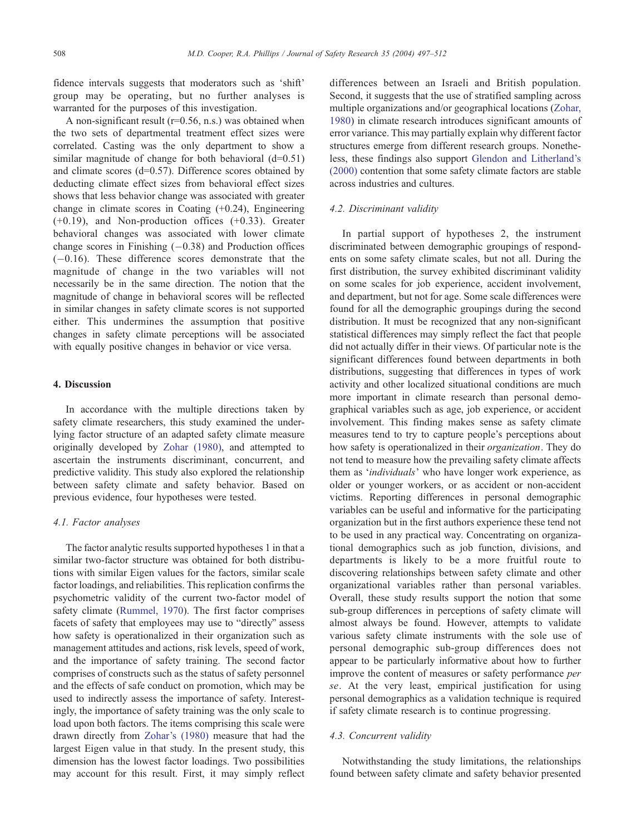fidence intervals suggests that moderators such as 'shift' group may be operating, but no further analyses is warranted for the purposes of this investigation.

A non-significant result ( $r=0.56$ , n.s.) was obtained when the two sets of departmental treatment effect sizes were correlated. Casting was the only department to show a similar magnitude of change for both behavioral  $(d=0.51)$ and climate scores (d=0.57). Difference scores obtained by deducting climate effect sizes from behavioral effect sizes shows that less behavior change was associated with greater change in climate scores in Coating  $(+0.24)$ , Engineering  $(+0.19)$ , and Non-production offices  $(+0.33)$ . Greater behavioral changes was associated with lower climate change scores in Finishing  $(-0.38)$  and Production offices (-0.16). These difference scores demonstrate that the magnitude of change in the two variables will not necessarily be in the same direction. The notion that the magnitude of change in behavioral scores will be reflected in similar changes in safety climate scores is not supported either. This undermines the assumption that positive changes in safety climate perceptions will be associated with equally positive changes in behavior or vice versa.

# 4. Discussion

In accordance with the multiple directions taken by safety climate researchers, this study examined the underlying factor structure of an adapted safety climate measure originally developed by [Zohar \(1980\),](#page-15-0) and attempted to ascertain the instruments discriminant, concurrent, and predictive validity. This study also explored the relationship between safety climate and safety behavior. Based on previous evidence, four hypotheses were tested.

# 4.1. Factor analyses

The factor analytic results supported hypotheses 1 in that a similar two-factor structure was obtained for both distributions with similar Eigen values for the factors, similar scale factor loadings, and reliabilities. This replication confirms the psychometric validity of the current two-factor model of safety climate [\(Rummel, 1970\)](#page-15-0). The first factor comprises facets of safety that employees may use to "directly" assess how safety is operationalized in their organization such as management attitudes and actions, risk levels, speed of work, and the importance of safety training. The second factor comprises of constructs such as the status of safety personnel and the effects of safe conduct on promotion, which may be used to indirectly assess the importance of safety. Interestingly, the importance of safety training was the only scale to load upon both factors. The items comprising this scale were drawn directly from [Zohar's \(1980\)](#page-15-0) measure that had the largest Eigen value in that study. In the present study, this dimension has the lowest factor loadings. Two possibilities may account for this result. First, it may simply reflect

differences between an Israeli and British population. Second, it suggests that the use of stratified sampling across multiple organizations and/or geographical locations ([Zohar,](#page-15-0) 1980) in climate research introduces significant amounts of error variance. This may partially explain why different factor structures emerge from different research groups. Nonetheless, these findings also support [Glendon and Litherland's](#page-14-0) (2000) contention that some safety climate factors are stable across industries and cultures.

# 4.2. Discriminant validity

In partial support of hypotheses 2, the instrument discriminated between demographic groupings of respondents on some safety climate scales, but not all. During the first distribution, the survey exhibited discriminant validity on some scales for job experience, accident involvement, and department, but not for age. Some scale differences were found for all the demographic groupings during the second distribution. It must be recognized that any non-significant statistical differences may simply reflect the fact that people did not actually differ in their views. Of particular note is the significant differences found between departments in both distributions, suggesting that differences in types of work activity and other localized situational conditions are much more important in climate research than personal demographical variables such as age, job experience, or accident involvement. This finding makes sense as safety climate measures tend to try to capture people's perceptions about how safety is operationalized in their *organization*. They do not tend to measure how the prevailing safety climate affects them as 'individuals' who have longer work experience, as older or younger workers, or as accident or non-accident victims. Reporting differences in personal demographic variables can be useful and informative for the participating organization but in the first authors experience these tend not to be used in any practical way. Concentrating on organizational demographics such as job function, divisions, and departments is likely to be a more fruitful route to discovering relationships between safety climate and other organizational variables rather than personal variables. Overall, these study results support the notion that some sub-group differences in perceptions of safety climate will almost always be found. However, attempts to validate various safety climate instruments with the sole use of personal demographic sub-group differences does not appear to be particularly informative about how to further improve the content of measures or safety performance per se. At the very least, empirical justification for using personal demographics as a validation technique is required if safety climate research is to continue progressing.

#### 4.3. Concurrent validity

Notwithstanding the study limitations, the relationships found between safety climate and safety behavior presented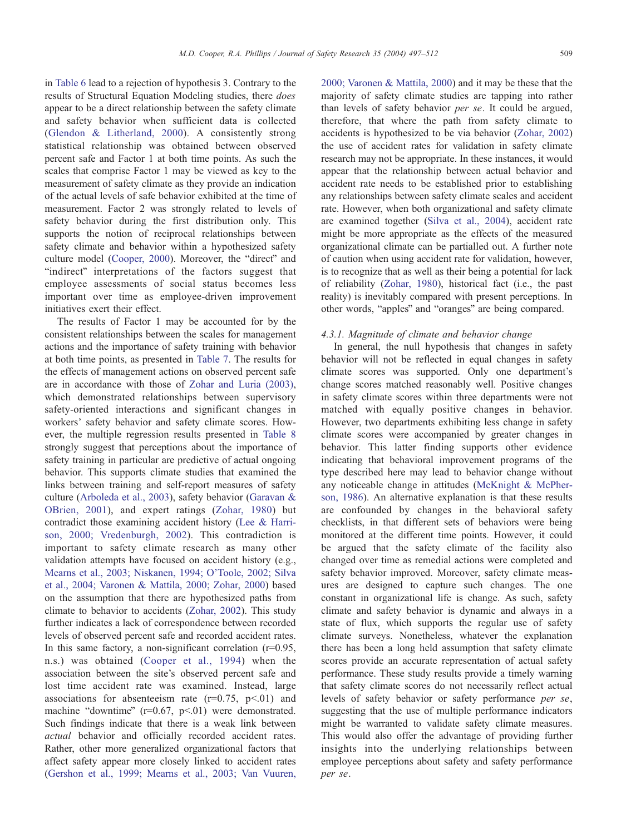in [Table 6](#page-8-0) lead to a rejection of hypothesis 3. Contrary to the results of Structural Equation Modeling studies, there does appear to be a direct relationship between the safety climate and safety behavior when sufficient data is collected ([Glendon & Litherland, 2000\)](#page-14-0). A consistently strong statistical relationship was obtained between observed percent safe and Factor 1 at both time points. As such the scales that comprise Factor 1 may be viewed as key to the measurement of safety climate as they provide an indication of the actual levels of safe behavior exhibited at the time of measurement. Factor 2 was strongly related to levels of safety behavior during the first distribution only. This supports the notion of reciprocal relationships between safety climate and behavior within a hypothesized safety culture model ([Cooper, 2000\)](#page-14-0). Moreover, the "direct" and "indirect" interpretations of the factors suggest that employee assessments of social status becomes less important over time as employee-driven improvement initiatives exert their effect.

The results of Factor 1 may be accounted for by the consistent relationships between the scales for management actions and the importance of safety training with behavior at both time points, as presented in [Table 7.](#page-9-0) The results for the effects of management actions on observed percent safe are in accordance with those of [Zohar and Luria \(2003\),](#page-15-0) which demonstrated relationships between supervisory safety-oriented interactions and significant changes in workers' safety behavior and safety climate scores. However, the multiple regression results presented in [Table 8](#page-9-0) strongly suggest that perceptions about the importance of safety training in particular are predictive of actual ongoing behavior. This supports climate studies that examined the links between training and self-report measures of safety culture [\(Arboleda et al., 2003\)](#page-13-0), safety behavior ([Garavan &](#page-14-0) OBrien, 2001), and expert ratings ([Zohar, 1980\)](#page-15-0) but contradict those examining accident history ([Lee & Harri](#page-14-0)son, 2000; Vredenburgh, 2002). This contradiction is important to safety climate research as many other validation attempts have focused on accident history (e.g., [Mearns et al., 2003; Niskanen, 1994; O'Toole, 2002; Silva](#page-14-0) et al., 2004; Varonen & Mattila, 2000; Zohar, 2000) based on the assumption that there are hypothesized paths from climate to behavior to accidents ([Zohar, 2002\)](#page-15-0). This study further indicates a lack of correspondence between recorded levels of observed percent safe and recorded accident rates. In this same factory, a non-significant correlation  $(r=0.95,$ n.s.) was obtained ([Cooper et al., 1994\)](#page-14-0) when the association between the site's observed percent safe and lost time accident rate was examined. Instead, large associations for absenteeism rate  $(r=0.75, p<.01)$  and machine "downtime" ( $r=0.67$ ,  $p<.01$ ) were demonstrated. Such findings indicate that there is a weak link between actual behavior and officially recorded accident rates. Rather, other more generalized organizational factors that affect safety appear more closely linked to accident rates ([Gershon et al., 1999; Mearns et al., 2003; Van Vuuren,](#page-14-0)

2000; Varonen & Mattila, 2000) and it may be these that the majority of safety climate studies are tapping into rather than levels of safety behavior per se. It could be argued, therefore, that where the path from safety climate to accidents is hypothesized to be via behavior ([Zohar, 2002\)](#page-15-0) the use of accident rates for validation in safety climate research may not be appropriate. In these instances, it would appear that the relationship between actual behavior and accident rate needs to be established prior to establishing any relationships between safety climate scales and accident rate. However, when both organizational and safety climate are examined together ([Silva et al., 2004\)](#page-15-0), accident rate might be more appropriate as the effects of the measured organizational climate can be partialled out. A further note of caution when using accident rate for validation, however, is to recognize that as well as their being a potential for lack of reliability ([Zohar, 1980\)](#page-15-0), historical fact (i.e., the past reality) is inevitably compared with present perceptions. In other words, "apples" and "oranges" are being compared.

#### 4.3.1. Magnitude of climate and behavior change

In general, the null hypothesis that changes in safety behavior will not be reflected in equal changes in safety climate scores was supported. Only one department's change scores matched reasonably well. Positive changes in safety climate scores within three departments were not matched with equally positive changes in behavior. However, two departments exhibiting less change in safety climate scores were accompanied by greater changes in behavior. This latter finding supports other evidence indicating that behavioral improvement programs of the type described here may lead to behavior change without any noticeable change in attitudes ([McKnight & McPher](#page-14-0)son, 1986). An alternative explanation is that these results are confounded by changes in the behavioral safety checklists, in that different sets of behaviors were being monitored at the different time points. However, it could be argued that the safety climate of the facility also changed over time as remedial actions were completed and safety behavior improved. Moreover, safety climate measures are designed to capture such changes. The one constant in organizational life is change. As such, safety climate and safety behavior is dynamic and always in a state of flux, which supports the regular use of safety climate surveys. Nonetheless, whatever the explanation there has been a long held assumption that safety climate scores provide an accurate representation of actual safety performance. These study results provide a timely warning that safety climate scores do not necessarily reflect actual levels of safety behavior or safety performance per se, suggesting that the use of multiple performance indicators might be warranted to validate safety climate measures. This would also offer the advantage of providing further insights into the underlying relationships between employee perceptions about safety and safety performance per se.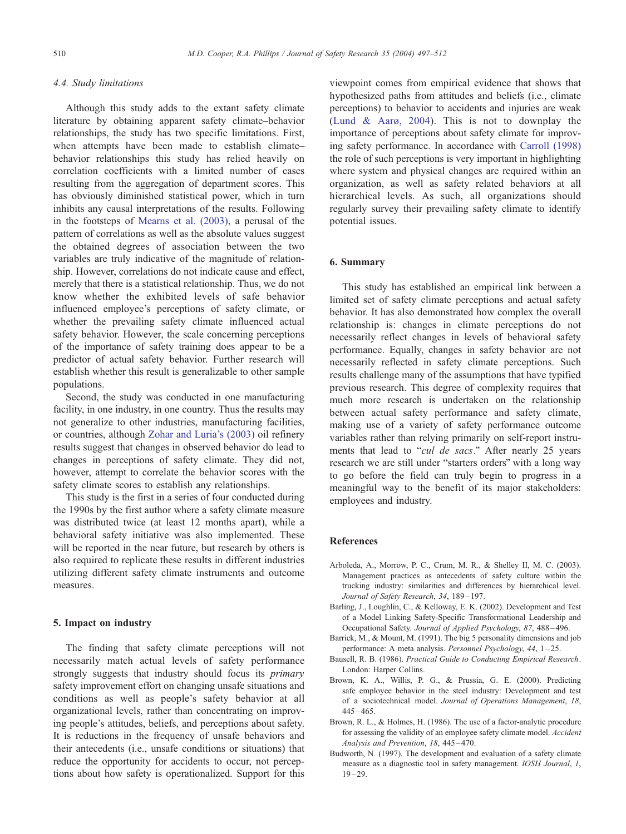# <span id="page-13-0"></span>4.4. Study limitations

Although this study adds to the extant safety climate literature by obtaining apparent safety climate–behavior relationships, the study has two specific limitations. First, when attempts have been made to establish climate– behavior relationships this study has relied heavily on correlation coefficients with a limited number of cases resulting from the aggregation of department scores. This has obviously diminished statistical power, which in turn inhibits any causal interpretations of the results. Following in the footsteps of [Mearns et al. \(2003\),](#page-14-0) a perusal of the pattern of correlations as well as the absolute values suggest the obtained degrees of association between the two variables are truly indicative of the magnitude of relationship. However, correlations do not indicate cause and effect, merely that there is a statistical relationship. Thus, we do not know whether the exhibited levels of safe behavior influenced employee's perceptions of safety climate, or whether the prevailing safety climate influenced actual safety behavior. However, the scale concerning perceptions of the importance of safety training does appear to be a predictor of actual safety behavior. Further research will establish whether this result is generalizable to other sample populations.

Second, the study was conducted in one manufacturing facility, in one industry, in one country. Thus the results may not generalize to other industries, manufacturing facilities, or countries, although [Zohar and Luria's \(2003\)](#page-15-0) oil refinery results suggest that changes in observed behavior do lead to changes in perceptions of safety climate. They did not, however, attempt to correlate the behavior scores with the safety climate scores to establish any relationships.

This study is the first in a series of four conducted during the 1990s by the first author where a safety climate measure was distributed twice (at least 12 months apart), while a behavioral safety initiative was also implemented. These will be reported in the near future, but research by others is also required to replicate these results in different industries utilizing different safety climate instruments and outcome measures.

# 5. Impact on industry

The finding that safety climate perceptions will not necessarily match actual levels of safety performance strongly suggests that industry should focus its *primary* safety improvement effort on changing unsafe situations and conditions as well as people's safety behavior at all organizational levels, rather than concentrating on improving people's attitudes, beliefs, and perceptions about safety. It is reductions in the frequency of unsafe behaviors and their antecedents (i.e., unsafe conditions or situations) that reduce the opportunity for accidents to occur, not perceptions about how safety is operationalized. Support for this

viewpoint comes from empirical evidence that shows that hypothesized paths from attitudes and beliefs (i.e., climate perceptions) to behavior to accidents and injuries are weak ([Lund & Aarø, 2004\)](#page-14-0). This is not to downplay the importance of perceptions about safety climate for improving safety performance. In accordance with [Carroll \(1998\)](#page-14-0) the role of such perceptions is very important in highlighting where system and physical changes are required within an organization, as well as safety related behaviors at all hierarchical levels. As such, all organizations should regularly survey their prevailing safety climate to identify potential issues.

# 6. Summary

This study has established an empirical link between a limited set of safety climate perceptions and actual safety behavior. It has also demonstrated how complex the overall relationship is: changes in climate perceptions do not necessarily reflect changes in levels of behavioral safety performance. Equally, changes in safety behavior are not necessarily reflected in safety climate perceptions. Such results challenge many of the assumptions that have typified previous research. This degree of complexity requires that much more research is undertaken on the relationship between actual safety performance and safety climate, making use of a variety of safety performance outcome variables rather than relying primarily on self-report instruments that lead to "cul de sacs." After nearly 25 years research we are still under "starters orders" with a long way to go before the field can truly begin to progress in a meaningful way to the benefit of its major stakeholders: employees and industry.

#### References

- Arboleda, A., Morrow, P. C., Crum, M. R., & Shelley II, M. C. (2003). Management practices as antecedents of safety culture within the trucking industry: similarities and differences by hierarchical level. Journal of Safety Research, 34, 189-197.
- Barling, J., Loughlin, C., & Kelloway, E. K. (2002). Development and Test of a Model Linking Safety-Specific Transformational Leadership and Occupational Safety. Journal of Applied Psychology, 87, 488 – 496.
- Barrick, M., & Mount, M. (1991). The big 5 personality dimensions and job performance: A meta analysis. Personnel Psychology, 44, 1 – 25.
- Bausell, R. B. (1986). Practical Guide to Conducting Empirical Research. London: Harper Collins.
- Brown, K. A., Willis, P. G., & Prussia, G. E. (2000). Predicting safe employee behavior in the steel industry: Development and test of a sociotechnical model. Journal of Operations Management, 18,  $445 - 465$ .
- Brown, R. L., & Holmes, H. (1986). The use of a factor-analytic procedure for assessing the validity of an employee safety climate model. Accident Analysis and Prevention, 18, 445 – 470.
- Budworth, N. (1997). The development and evaluation of a safety climate measure as a diagnostic tool in safety management. IOSH Journal, 1,  $19 - 29.$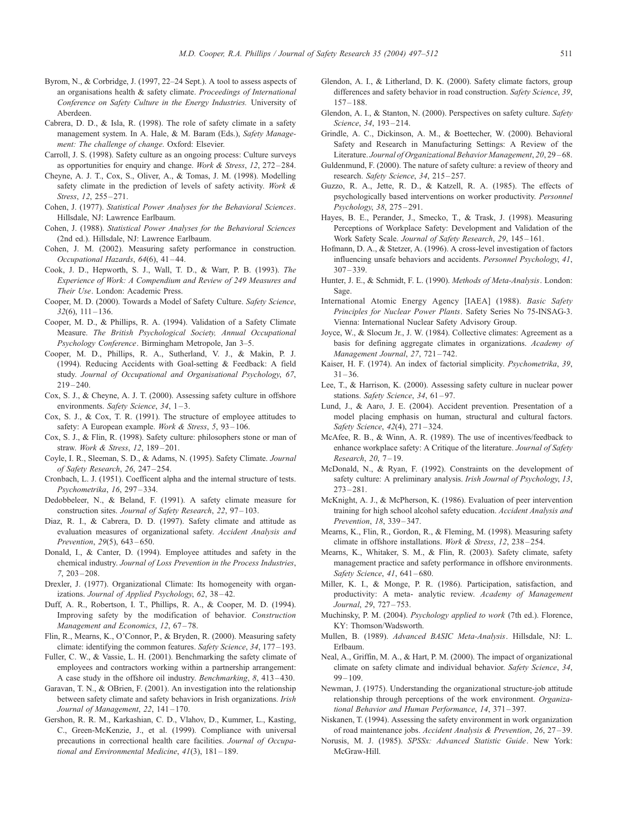- <span id="page-14-0"></span>Byrom, N., & Corbridge, J. (1997, 22–24 Sept.). A tool to assess aspects of an organisations health & safety climate. Proceedings of International Conference on Safety Culture in the Energy Industries. University of Aberdeen.
- Cabrera, D. D., & Isla, R. (1998). The role of safety climate in a safety management system. In A. Hale, & M. Baram (Eds.), Safety Management: The challenge of change. Oxford: Elsevier.
- Carroll, J. S. (1998). Safety culture as an ongoing process: Culture surveys as opportunities for enquiry and change. Work & Stress, 12, 272 – 284.
- Cheyne, A. J. T., Cox, S., Oliver, A., & Tomas, J. M. (1998). Modelling safety climate in the prediction of levels of safety activity. Work & Stress, 12, 255-271.
- Cohen, J. (1977). Statistical Power Analyses for the Behavioral Sciences. Hillsdale, NJ: Lawrence Earlbaum.
- Cohen, J. (1988). Statistical Power Analyses for the Behavioral Sciences (2nd ed.). Hillsdale, NJ: Lawrence Earlbaum.
- Cohen, J. M. (2002). Measuring safety performance in construction. Occupational Hazards, 64(6), 41 – 44.
- Cook, J. D., Hepworth, S. J., Wall, T. D., & Warr, P. B. (1993). The Experience of Work: A Compendium and Review of 249 Measures and Their Use. London: Academic Press.
- Cooper, M. D. (2000). Towards a Model of Safety Culture. Safety Science,  $32(6)$ , 111 – 136.
- Cooper, M. D., & Phillips, R. A. (1994). Validation of a Safety Climate Measure. The British Psychological Society, Annual Occupational Psychology Conference. Birmingham Metropole, Jan 3–5.
- Cooper, M. D., Phillips, R. A., Sutherland, V. J., & Makin, P. J. (1994). Reducing Accidents with Goal-setting & Feedback: A field study. Journal of Occupational and Organisational Psychology, 67,  $219 - 240$
- Cox, S. J., & Cheyne, A. J. T. (2000). Assessing safety culture in offshore environments. Safety Science, 34, 1-3.
- Cox, S. J., & Cox, T. R. (1991). The structure of employee attitudes to safety: A European example. Work & Stress, 5, 93-106.
- Cox, S. J., & Flin, R. (1998). Safety culture: philosophers stone or man of straw. Work & Stress, 12, 189-201.
- Coyle, I. R., Sleeman, S. D., & Adams, N. (1995). Safety Climate. Journal of Safety Research, 26, 247 – 254.
- Cronbach, L. J. (1951). Coefficent alpha and the internal structure of tests. Psychometrika, 16, 297 – 334.
- Dedobbeleer, N., & Beland, F. (1991). A safety climate measure for construction sites. Journal of Safety Research, 22, 97-103.
- Diaz, R. I., & Cabrera, D. D. (1997). Safety climate and attitude as evaluation measures of organizational safety. Accident Analysis and Prevention, 29(5), 643 – 650.
- Donald, I., & Canter, D. (1994). Employee attitudes and safety in the chemical industry. Journal of Loss Prevention in the Process Industries,  $7, 203 - 208$
- Drexler, J. (1977). Organizational Climate: Its homogeneity with organizations. Journal of Applied Psychology, 62, 38 – 42.
- Duff, A. R., Robertson, I. T., Phillips, R. A., & Cooper, M. D. (1994). Improving safety by the modification of behavior. Construction Management and Economics, 12, 67-78.
- Flin, R., Mearns, K., O'Connor, P., & Bryden, R. (2000). Measuring safety climate: identifying the common features. Safety Science, 34, 177 – 193.
- Fuller, C. W., & Vassie, L. H. (2001). Benchmarking the safety climate of employees and contractors working within a partnership arrangement: A case study in the offshore oil industry. Benchmarking, 8, 413 – 430.
- Garavan, T. N., & OBrien, F. (2001). An investigation into the relationship between safety climate and safety behaviors in Irish organizations. Irish Journal of Management, 22, 141 – 170.
- Gershon, R. R. M., Karkashian, C. D., Vlahov, D., Kummer, L., Kasting, C., Green-McKenzie, J., et al. (1999). Compliance with universal precautions in correctional health care facilities. Journal of Occupational and Environmental Medicine, 41(3), 181 – 189.
- Glendon, A. I., & Litherland, D. K. (2000). Safety climate factors, group differences and safety behavior in road construction. Safety Science, 39,  $157 - 188.$
- Glendon, A. I., & Stanton, N. (2000). Perspectives on safety culture. Safety Science, 34, 193-214.
- Grindle, A. C., Dickinson, A. M., & Boettecher, W. (2000). Behavioral Safety and Research in Manufacturing Settings: A Review of the Literature. Journal of Organizational Behavior Management, 20, 29 – 68.
- Guldenmund, F. (2000). The nature of safety culture: a review of theory and research. Safety Science, 34, 215-257.
- Guzzo, R. A., Jette, R. D., & Katzell, R. A. (1985). The effects of psychologically based interventions on worker productivity. Personnel Psychology, 38, 275 – 291.
- Hayes, B. E., Perander, J., Smecko, T., & Trask, J. (1998). Measuring Perceptions of Workplace Safety: Development and Validation of the Work Safety Scale. Journal of Safety Research, 29, 145 – 161.
- Hofmann, D. A., & Stetzer, A. (1996). A cross-level investigation of factors influencing unsafe behaviors and accidents. Personnel Psychology, 41,  $307 - 339$
- Hunter, J. E., & Schmidt, F. L. (1990). Methods of Meta-Analysis. London: Sage.
- International Atomic Energy Agency [IAEA] (1988). Basic Safety Principles for Nuclear Power Plants. Safety Series No 75-INSAG-3. Vienna: International Nuclear Safety Advisory Group.
- Joyce, W., & Slocum Jr., J. W. (1984). Collective climates: Agreement as a basis for defining aggregate climates in organizations. Academy of Management Journal, 27, 721-742.
- Kaiser, H. F. (1974). An index of factorial simplicity. Psychometrika, 39,  $31 - 36.$
- Lee, T., & Harrison, K. (2000). Assessing safety culture in nuclear power stations. Safety Science, 34, 61-97.
- Lund, J., & Aarø, J. E. (2004). Accident prevention. Presentation of a model placing emphasis on human, structural and cultural factors. Safety Science, 42(4), 271 – 324.
- McAfee, R. B., & Winn, A. R. (1989). The use of incentives/feedback to enhance workplace safety: A Critique of the literature. Journal of Safety Research,  $20, 7-19$ .
- McDonald, N., & Ryan, F. (1992). Constraints on the development of safety culture: A preliminary analysis. Irish Journal of Psychology, 13,  $273 - 281$ .
- McKnight, A. J., & McPherson, K. (1986). Evaluation of peer intervention training for high school alcohol safety education. Accident Analysis and Prevention, 18, 339 – 347.
- Mearns, K., Flin, R., Gordon, R., & Fleming, M. (1998). Measuring safety climate in offshore installations. Work & Stress, 12, 238 – 254.
- Mearns, K., Whitaker, S. M., & Flin, R. (2003). Safety climate, safety management practice and safety performance in offshore environments. Safety Science, 41, 641-680.
- Miller, K. I., & Monge, P. R. (1986). Participation, satisfaction, and productivity: A meta- analytic review. Academy of Management Journal, 29, 727 – 753.
- Muchinsky, P. M. (2004). Psychology applied to work (7th ed.). Florence, KY: Thomson/Wadsworth.
- Mullen, B. (1989). Advanced BASIC Meta-Analysis. Hillsdale, NJ: L. Erlbaum.
- Neal, A., Griffin, M. A., & Hart, P. M. (2000). The impact of organizational climate on safety climate and individual behavior. Safety Science, 34,  $99 - 109$
- Newman, J. (1975). Understanding the organizational structure-job attitude relationship through perceptions of the work environment. Organizational Behavior and Human Performance, 14, 371 – 397.
- Niskanen, T. (1994). Assessing the safety environment in work organization of road maintenance jobs. Accident Analysis & Prevention, 26, 27 – 39.
- Norusis, M. J. (1985). SPSSx: Advanced Statistic Guide. New York: McGraw-Hill.